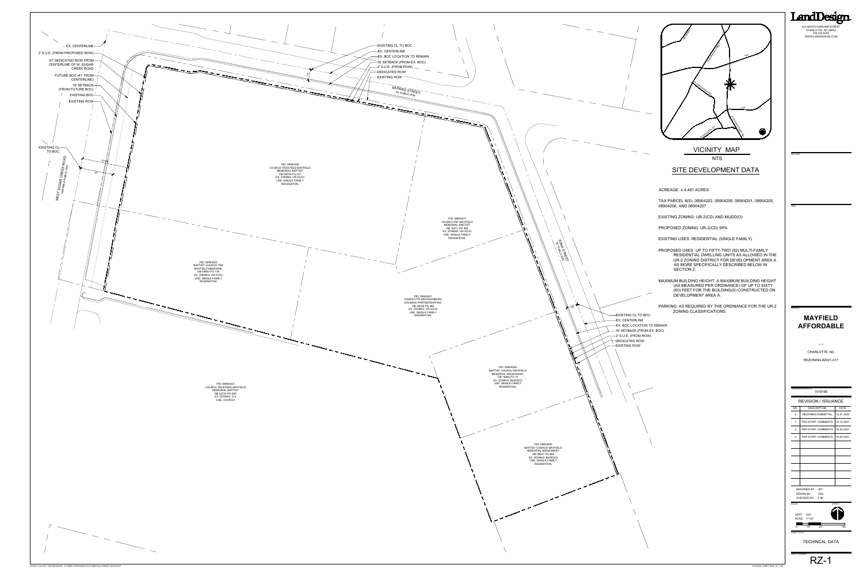## **MAYFIELD AFFORDABLE**

TECHINCAL DATA

RZ-1

## **NTS** VICINITY MAP

SHEET NUMBER

ORIGINAL SHEET SIZE: 24" X 36"

223 NORTH GRAHAM STREET CHARLOTTE, NC 28202 704.333.0325 WWW.LANDDESIGN.COM

LandDesign.

## SITE DEVELOPMENT DATA

ACREAGE: ± 4.481 ACRES

TAX PARCEL #(S): 08904202, 08904208, 08904201, 08904205, 08904206, AND 08904207

EXISTING ZONING: UR-2(CD) AND MUDD(O)

PROPOSED ZONING: UR-2(CD) SPA

EXISTING USES: RESIDENTIAL (SINGLE FAMILY)

PROPOSED USES: UP TO FIFTY-TWO (52) MULTI-FAMILY RESIDENTIAL DWELLING UNITS AS ALLOWED IN THE UR-2 ZONING DISTRICT FOR DEVELOPMENT AREA A AS MORE SPECIFICALLY DESCRIBED BELOW IN SECTION 2.

MAXIMUM BUILDING HEIGHT: A MAXIMUM BUILDING HEIGHT (AS MEASURED PER ORDINANCE) OF UP TO SIXTY (60) FEET FOR THE BUILDING(S) CONSTRUCTED ON DEVELOPMENT AREA A.

PARKING: AS REQUIRED BY THE ORDINANCE FOR THE UR-2 ZONING CLASSIFICATIONS.

### <sup>-16'</sup> SETBACK (FROM EX. BOC) 2' S.U.E. (FROM ROW)  $\rightarrow$  DEDICATED ROW **EXISTING ROW EX. BOC LOCATION TO REMAIN** EX. CENTERLINE **EXISTING CL TO BOC**

| <b>SEAL</b>    |                                     |              |
|----------------|-------------------------------------|--------------|
|                |                                     |              |
|                |                                     |              |
|                |                                     |              |
|                |                                     |              |
|                |                                     |              |
|                |                                     |              |
|                |                                     |              |
|                |                                     |              |
|                |                                     |              |
|                |                                     |              |
|                |                                     |              |
|                |                                     |              |
|                |                                     |              |
|                |                                     |              |
|                |                                     |              |
|                |                                     |              |
| <b>PROJECT</b> |                                     |              |
|                | <b>MAYFIELD</b>                     |              |
|                |                                     |              |
|                | <b>AFFORDABLE</b>                   |              |
|                |                                     |              |
|                |                                     |              |
|                |                                     |              |
|                |                                     |              |
|                | CHARLOTTE, NC                       |              |
|                | <b>REZONING #2021-017</b>           |              |
|                |                                     |              |
|                |                                     |              |
|                |                                     |              |
|                |                                     |              |
|                | <b>LANDDESIGN PROJ.#</b><br>1019165 |              |
|                |                                     |              |
|                | <b>REVISION / ISSUANCE</b>          |              |
| NO.            | <b>DESCRIPTION</b>                  | <b>DATE</b>  |
| 0              | REZONING SUBMITTAL                  | 12.21.2020   |
| 1              | PER STAFF COMMENTS                  | 03.15.2021   |
| 2              | PER STAFF COMMENTS                  | 04.22.2021   |
|                |                                     |              |
| 3              | PER STAFF COMMENTS                  | 05.05.2021   |
|                |                                     |              |
|                |                                     |              |
|                |                                     |              |
|                |                                     |              |
|                |                                     |              |
|                |                                     |              |
|                |                                     |              |
|                | DESIGNED BY:<br>JRY                 |              |
|                | <b>DRAWN BY:</b><br><b>CKS</b>      |              |
|                | <b>CHECKED BY:</b><br><b>FJM</b>    | <b>NORTH</b> |
|                |                                     |              |
| <b>SCALE</b>   | VERT:<br>N/A                        |              |
|                | $1" = 30'$<br>HORZ:                 |              |
| 0              | 15'<br>30'                          | 60'          |



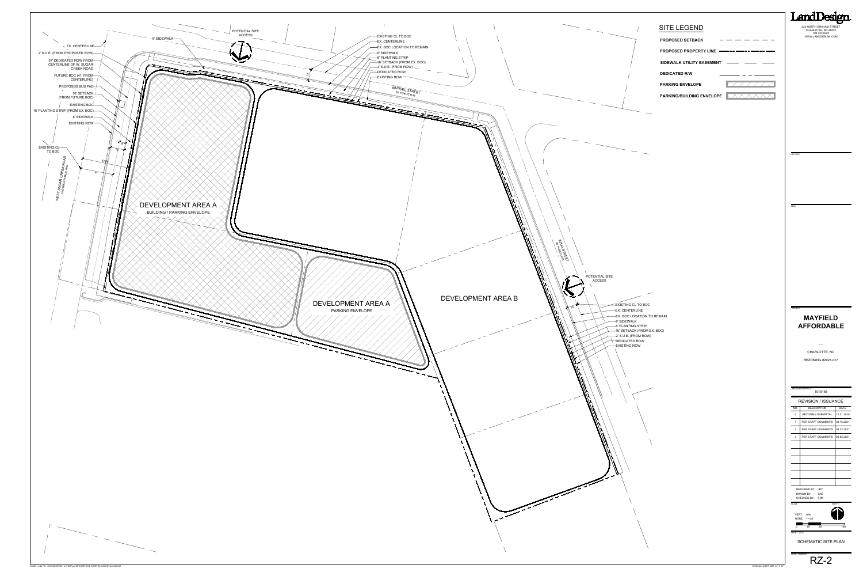SCHEMATIC SITE PLAN

RZ-2 SHEET NUMBER

LandDesign. 223 NORTH GRAHAM STREET CHARLOTTE, NC 28202 704.333.0325 WWW.LANDDESIGN.COM

ORIGINAL SHEET SIZE: 24" X 36"



# SITE LEGEND

| <b>PROPOSED SETBACK</b>          |  |
|----------------------------------|--|
| <b>PROPOSED PROPERTY LINE</b>    |  |
| <b>SIDEWALK UTILITY EASEMENT</b> |  |
| <b>DEDICATED R/W</b>             |  |
| <b>PARKING ENVELOPE</b>          |  |
| <b>PARKING/BUILDING ENVELOPE</b> |  |

| <b>SEAL</b>    |                                                             |              |
|----------------|-------------------------------------------------------------|--------------|
|                |                                                             |              |
|                |                                                             |              |
|                |                                                             |              |
|                |                                                             |              |
|                |                                                             |              |
|                |                                                             |              |
|                |                                                             |              |
|                |                                                             |              |
|                |                                                             |              |
|                |                                                             |              |
|                |                                                             |              |
|                |                                                             |              |
|                |                                                             |              |
|                |                                                             |              |
| <b>PROJECT</b> |                                                             |              |
|                | <b>MAYFIELD</b>                                             |              |
|                |                                                             |              |
|                | <b>AFFORDABLE</b>                                           |              |
|                |                                                             |              |
|                |                                                             |              |
|                |                                                             |              |
|                |                                                             |              |
|                | CHARLOTTE, NC                                               |              |
|                | <b>REZONING #2021-017</b>                                   |              |
|                |                                                             |              |
|                |                                                             |              |
|                |                                                             |              |
|                | <b>LANDDESIGN PROJ.#</b><br>1019165                         |              |
|                | <b>REVISION / ISSUANCE</b>                                  |              |
| NO.            | <b>DESCRIPTION</b>                                          | <b>DATE</b>  |
| 0              | <b>REZONING SUBMITTAL</b>                                   | 12.21.2020   |
| 1              | PER STAFF COMMENTS                                          | 03.15.2021   |
| 2              | PER STAFF COMMENTS                                          | 04.22.2021   |
|                | PER STAFF COMMENTS                                          |              |
| 3              |                                                             | 05.05.2021   |
|                |                                                             |              |
|                |                                                             |              |
|                |                                                             |              |
|                |                                                             |              |
|                |                                                             |              |
|                |                                                             |              |
|                | <b>DESIGNED BY:</b><br>JRY                                  |              |
|                | <b>DRAWN BY:</b><br><b>CKS</b><br><b>FJM</b><br>CHECKED BY: |              |
| <b>SCALE</b>   |                                                             | <b>NORTH</b> |
|                |                                                             |              |
|                | VERT:<br>N/A<br>$1" = 30'$<br>HORZ:                         |              |
| 0              | 15'<br>30'                                                  | 60'          |

EXISTING CL TO BOC EX. CENTERLINE **EX. BOC LOCATION TO REMAIN** 8' SIDEWALK  $\overline{\phantom{a}}$ 8' PLANTING STRIP  $\sum$ 16' SETBACK (FROM EX. BOC)  $\sim$  2' S.U.E. (FROM ROW)  $\sim$ DEDICATED ROW  $\dot{\vec{z}}$  $-$ EXISTING ROW MUNSEE STREET and the Contract of the Contract of Y WARD STREET SO PUBLIC RIMES POTENTIAL SITE ACCESS DEVELOPMENT AREA B DEVELOPMENT AREA A  $\mathcal{A}$ PARKING ENVELOPE

16' SETBACK (FROM EX. BOC)

**EX. BOC LOCATION TO REMAIN** 

8' SIDEWALK

8' PLANTING STRIP

EX. CENTERLINE

EXISTING CL TO BOC

 $\overline{\phantom{a}}$  DEDICATED ROW **EXISTING ROW** 

2' S.U.E. (FROM ROW)